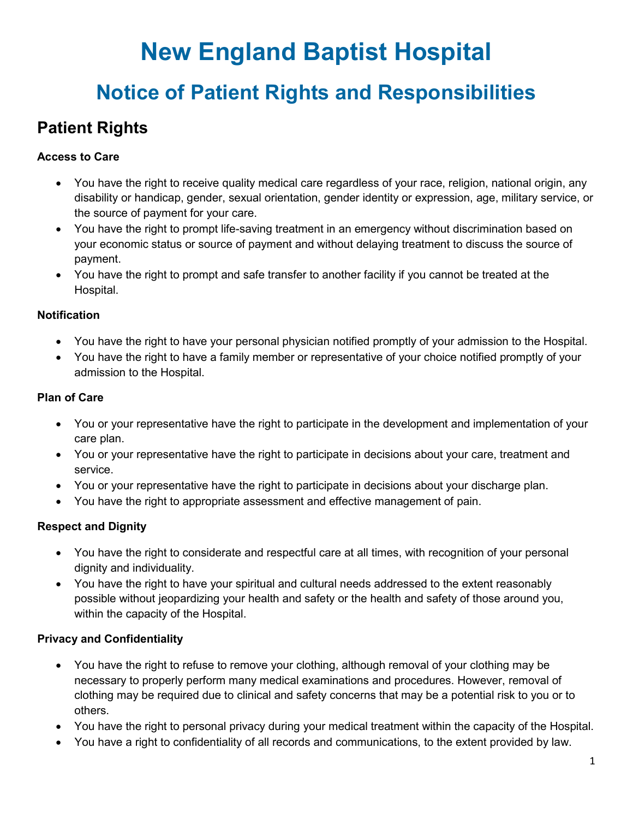# **New England Baptist Hospital**

## **Notice of Patient Rights and Responsibilities**

## **Patient Rights**

#### **Access to Care**

- You have the right to receive quality medical care regardless of your race, religion, national origin, any disability or handicap, gender, sexual orientation, gender identity or expression, age, military service, or the source of payment for your care.
- You have the right to prompt life-saving treatment in an emergency without discrimination based on your economic status or source of payment and without delaying treatment to discuss the source of payment.
- You have the right to prompt and safe transfer to another facility if you cannot be treated at the Hospital.

#### **Notification**

- You have the right to have your personal physician notified promptly of your admission to the Hospital.
- You have the right to have a family member or representative of your choice notified promptly of your admission to the Hospital.

#### **Plan of Care**

- You or your representative have the right to participate in the development and implementation of your care plan.
- You or your representative have the right to participate in decisions about your care, treatment and service.
- You or your representative have the right to participate in decisions about your discharge plan.
- You have the right to appropriate assessment and effective management of pain.

#### **Respect and Dignity**

- You have the right to considerate and respectful care at all times, with recognition of your personal dignity and individuality.
- You have the right to have your spiritual and cultural needs addressed to the extent reasonably possible without jeopardizing your health and safety or the health and safety of those around you, within the capacity of the Hospital.

#### **Privacy and Confidentiality**

- You have the right to refuse to remove your clothing, although removal of your clothing may be necessary to properly perform many medical examinations and procedures. However, removal of clothing may be required due to clinical and safety concerns that may be a potential risk to you or to others.
- You have the right to personal privacy during your medical treatment within the capacity of the Hospital.
- You have a right to confidentiality of all records and communications, to the extent provided by law.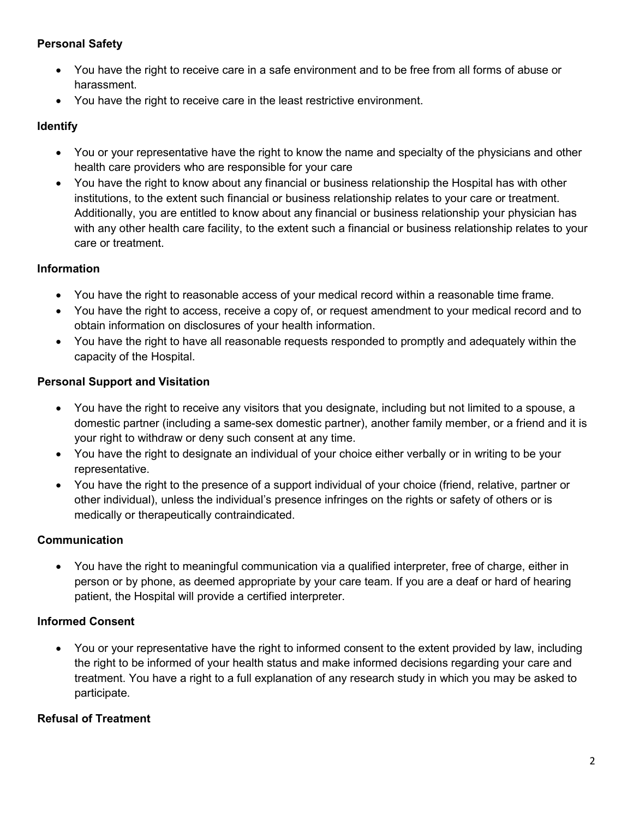#### **Personal Safety**

- You have the right to receive care in a safe environment and to be free from all forms of abuse or harassment.
- You have the right to receive care in the least restrictive environment.

#### **Identify**

- You or your representative have the right to know the name and specialty of the physicians and other health care providers who are responsible for your care
- You have the right to know about any financial or business relationship the Hospital has with other institutions, to the extent such financial or business relationship relates to your care or treatment. Additionally, you are entitled to know about any financial or business relationship your physician has with any other health care facility, to the extent such a financial or business relationship relates to your care or treatment.

#### **Information**

- You have the right to reasonable access of your medical record within a reasonable time frame.
- You have the right to access, receive a copy of, or request amendment to your medical record and to obtain information on disclosures of your health information.
- You have the right to have all reasonable requests responded to promptly and adequately within the capacity of the Hospital.

#### **Personal Support and Visitation**

- You have the right to receive any visitors that you designate, including but not limited to a spouse, a domestic partner (including a same-sex domestic partner), another family member, or a friend and it is your right to withdraw or deny such consent at any time.
- You have the right to designate an individual of your choice either verbally or in writing to be your representative.
- You have the right to the presence of a support individual of your choice (friend, relative, partner or other individual), unless the individual's presence infringes on the rights or safety of others or is medically or therapeutically contraindicated.

#### **Communication**

• You have the right to meaningful communication via a qualified interpreter, free of charge, either in person or by phone, as deemed appropriate by your care team. If you are a deaf or hard of hearing patient, the Hospital will provide a certified interpreter.

#### **Informed Consent**

• You or your representative have the right to informed consent to the extent provided by law, including the right to be informed of your health status and make informed decisions regarding your care and treatment. You have a right to a full explanation of any research study in which you may be asked to participate.

#### **Refusal of Treatment**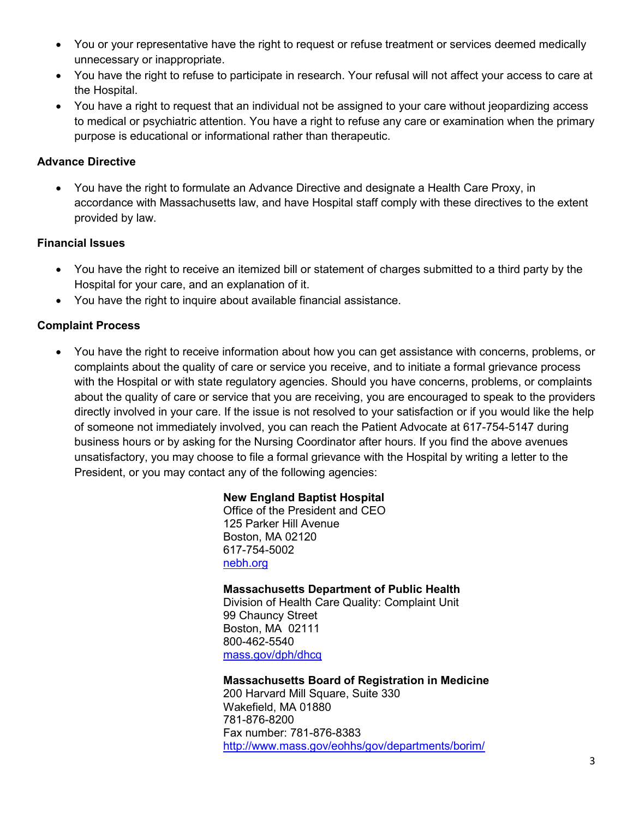- You or your representative have the right to request or refuse treatment or services deemed medically unnecessary or inappropriate.
- You have the right to refuse to participate in research. Your refusal will not affect your access to care at the Hospital.
- You have a right to request that an individual not be assigned to your care without jeopardizing access to medical or psychiatric attention. You have a right to refuse any care or examination when the primary purpose is educational or informational rather than therapeutic.

#### **Advance Directive**

• You have the right to formulate an Advance Directive and designate a Health Care Proxy, in accordance with Massachusetts law, and have Hospital staff comply with these directives to the extent provided by law.

#### **Financial Issues**

- You have the right to receive an itemized bill or statement of charges submitted to a third party by the Hospital for your care, and an explanation of it.
- You have the right to inquire about available financial assistance.

#### **Complaint Process**

• You have the right to receive information about how you can get assistance with concerns, problems, or complaints about the quality of care or service you receive, and to initiate a formal grievance process with the Hospital or with state regulatory agencies. Should you have concerns, problems, or complaints about the quality of care or service that you are receiving, you are encouraged to speak to the providers directly involved in your care. If the issue is not resolved to your satisfaction or if you would like the help of someone not immediately involved, you can reach the Patient Advocate at 617-754-5147 during business hours or by asking for the Nursing Coordinator after hours. If you find the above avenues unsatisfactory, you may choose to file a formal grievance with the Hospital by writing a letter to the President, or you may contact any of the following agencies:

#### **New England Baptist Hospital**

Office of the President and CEO 125 Parker Hill Avenue Boston, MA 02120 617-754-5002 [nebh.org](http://www.nebh.org/)

#### **Massachusetts Department of Public Health**

Division of Health Care Quality: Complaint Unit 99 Chauncy Street Boston, MA 02111 800-462-5540 [mass.gov/dph/dhcq](http://www.mass.gov/dph/dhcq)

#### **Massachusetts Board of Registration in Medicine**

200 Harvard Mill Square, Suite 330 Wakefield, MA 01880 781-876-8200 Fax number: 781-876-8383 <http://www.mass.gov/eohhs/gov/departments/borim/>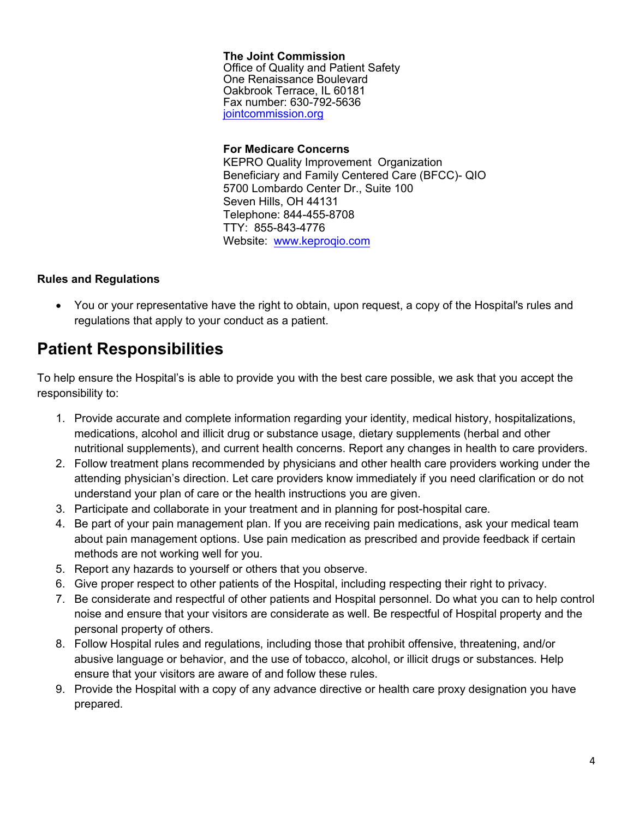**The Joint Commission**  Office of Quality and Patient Safety One Renaissance Boulevard Oakbrook Terrace, IL 60181 Fax number: 630-792-5636 [jointcommission.org](www.jointcommission.org)

#### **For Medicare Concerns**

KEPRO Quality Improvement Organization Beneficiary and Family Centered Care (BFCC)- QIO 5700 Lombardo Center Dr., Suite 100 Seven Hills, OH 44131 Telephone: 844-455-8708 TTY: 855-843-4776 [Website:](http://www.livanta.com/) <www.keproqio.com>

#### **Rules and Regulations**

• You or your representative have the right to obtain, upon request, a copy of the Hospital's rules and regulations that apply to your conduct as a patient.

### **Patient Responsibilities**

To help ensure the Hospital's is able to provide you with the best care possible, we ask that you accept the responsibility to:

- 1. Provide accurate and complete information regarding your identity, medical history, hospitalizations, medications, alcohol and illicit drug or substance usage, dietary supplements (herbal and other nutritional supplements), and current health concerns. Report any changes in health to care providers.
- 2. Follow treatment plans recommended by physicians and other health care providers working under the attending physician's direction. Let care providers know immediately if you need clarification or do not understand your plan of care or the health instructions you are given.
- 3. Participate and collaborate in your treatment and in planning for post-hospital care.
- 4. Be part of your pain management plan. If you are receiving pain medications, ask your medical team about pain management options. Use pain medication as prescribed and provide feedback if certain methods are not working well for you.
- 5. Report any hazards to yourself or others that you observe.
- 6. Give proper respect to other patients of the Hospital, including respecting their right to privacy.
- 7. Be considerate and respectful of other patients and Hospital personnel. Do what you can to help control noise and ensure that your visitors are considerate as well. Be respectful of Hospital property and the personal property of others.
- 8. Follow Hospital rules and regulations, including those that prohibit offensive, threatening, and/or abusive language or behavior, and the use of tobacco, alcohol, or illicit drugs or substances. Help ensure that your visitors are aware of and follow these rules.
- 9. Provide the Hospital with a copy of any advance directive or health care proxy designation you have prepared.